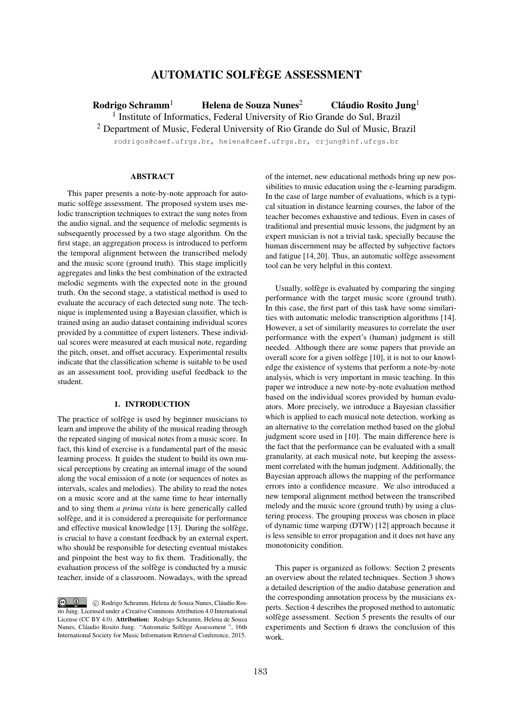# AUTOMATIC SOLFÈGE ASSESSMENT

Rodrigo Schramm<sup>1</sup> Helena de Souza Nunes<sup>2</sup> Cláudio Rosito Jung<sup>1</sup> <sup>1</sup> Institute of Informatics, Federal University of Rio Grande do Sul, Brazil <sup>2</sup> Department of Music, Federal University of Rio Grande do Sul of Music, Brazil

rodrigos@caef.ufrgs.br, helena@caef.ufrgs.br, crjung@inf.ufrgs.br

# **ABSTRACT**

This paper presents a note-by-note approach for automatic solfège assessment. The proposed system uses melodic transcription techniques to extract the sung notes from the audio signal, and the sequence of melodic segments is subsequently processed by a two stage algorithm. On the first stage, an aggregation process is introduced to perform the temporal alignment between the transcribed melody and the music score (ground truth). This stage implicitly aggregates and links the best combination of the extracted melodic segments with the expected note in the ground truth. On the second stage, a statistical method is used to evaluate the accuracy of each detected sung note. The technique is implemented using a Bayesian classifier, which is trained using an audio dataset containing individual scores provided by a committee of expert listeners. These individual scores were measured at each musical note, regarding the pitch, onset, and offset accuracy. Experimental results indicate that the classification scheme is suitable to be used as an assessment tool, providing useful feedback to the student.

## 1. INTRODUCTION

The practice of solfège is used by beginner musicians to learn and improve the ability of the musical reading through the repeated singing of musical notes from a music score. In fact, this kind of exercise is a fundamental part of the music learning process. It guides the student to build its own musical perceptions by creating an internal image of the sound along the vocal emission of a note (or sequences of notes as intervals, scales and melodies). The ability to read the notes on a music score and at the same time to hear internally and to sing them *a prima vista* is here generically called solfège, and it is considered a prerequisite for performance and effective musical knowledge [13]. During the solfège, is crucial to have a constant feedback by an external expert, who should be responsible for detecting eventual mistakes and pinpoint the best way to fix them. Traditionally, the evaluation process of the solfège is conducted by a music teacher, inside of a classroom. Nowadays, with the spread

of the internet, new educational methods bring up new possibilities to music education using the e-learning paradigm. In the case of large number of evaluations, which is a typical situation in distance learning courses, the labor of the teacher becomes exhaustive and tedious. Even in cases of traditional and presential music lessons, the judgment by an expert musician is not a trivial task, specially because the human discernment may be affected by subjective factors and fatigue [14, 20]. Thus, an automatic solfège assessment tool can be very helpful in this context.

Usually, solfège is evaluated by comparing the singing performance with the target music score (ground truth). In this case, the first part of this task have some similarities with automatic melodic transcription algorithms [14]. However, a set of similarity measures to correlate the user performance with the expert's (human) judgment is still needed. Although there are some papers that provide an overall score for a given solfège [10], it is not to our knowledge the existence of systems that perform a note-by-note analysis, which is very important in music teaching. In this paper we introduce a new note-by-note evaluation method based on the individual scores provided by human evaluators. More precisely, we introduce a Bayesian classifier which is applied to each musical note detection, working as an alternative to the correlation method based on the global judgment score used in [10]. The main difference here is the fact that the performance can be evaluated with a small granularity, at each musical note, but keeping the assessment correlated with the human judgment. Additionally, the Bayesian approach allows the mapping of the performance errors into a confidence measure. We also introduced a new temporal alignment method between the transcribed melody and the music score (ground truth) by using a clustering process. The grouping process was chosen in place of dynamic time warping (DTW) [12] approach because it is less sensible to error propagation and it does not have any monotonicity condition.

This paper is organized as follows: Section 2 presents an overview about the related techniques. Section 3 shows a detailed description of the audio database generation and the corresponding annotation process by the musicians experts. Section 4 describes the proposed method to automatic solfège assessment. Section 5 presents the results of our experiments and Section 6 draws the conclusion of this work.

 $\circ$   $\circ$ c Rodrigo Schramm, Helena de Souza Nunes, Cláudio Rosito Jung. Licensed under a Creative Commons Attribution 4.0 International License (CC BY 4.0). Attribution: Rodrigo Schramm, Helena de Souza Nunes, Cláudio Rosito Jung. "Automatic Solfège Assessment ", 16th International Society for Music Information Retrieval Conference, 2015.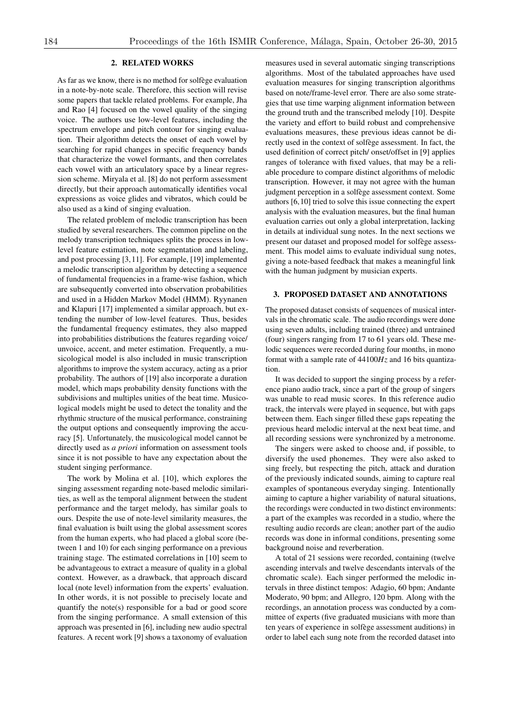# 2. RELATED WORKS

As far as we know, there is no method for solfège evaluation in a note-by-note scale. Therefore, this section will revise some papers that tackle related problems. For example, Jha and Rao [4] focused on the vowel quality of the singing voice. The authors use low-level features, including the spectrum envelope and pitch contour for singing evaluation. Their algorithm detects the onset of each vowel by searching for rapid changes in specific frequency bands that characterize the vowel formants, and then correlates each vowel with an articulatory space by a linear regression scheme. Miryala et al. [8] do not perform assessment directly, but their approach automatically identifies vocal expressions as voice glides and vibratos, which could be also used as a kind of singing evaluation.

The related problem of melodic transcription has been studied by several researchers. The common pipeline on the melody transcription techniques splits the process in lowlevel feature estimation, note segmentation and labeling, and post processing [3, 11]. For example, [19] implemented a melodic transcription algorithm by detecting a sequence of fundamental frequencies in a frame-wise fashion, which are subsequently converted into observation probabilities and used in a Hidden Markov Model (HMM). Ryynanen and Klapuri [17] implemented a similar approach, but extending the number of low-level features. Thus, besides the fundamental frequency estimates, they also mapped into probabilities distributions the features regarding voice/ unvoice, accent, and meter estimation. Frequently, a musicological model is also included in music transcription algorithms to improve the system accuracy, acting as a prior probability. The authors of [19] also incorporate a duration model, which maps probability density functions with the subdivisions and multiples unities of the beat time. Musicological models might be used to detect the tonality and the rhythmic structure of the musical performance, constraining the output options and consequently improving the accuracy [5]. Unfortunately, the musicological model cannot be directly used as *a priori* information on assessment tools since it is not possible to have any expectation about the student singing performance.

The work by Molina et al. [10], which explores the singing assessment regarding note-based melodic similarities, as well as the temporal alignment between the student performance and the target melody, has similar goals to ours. Despite the use of note-level similarity measures, the final evaluation is built using the global assessment scores from the human experts, who had placed a global score (between 1 and 10) for each singing performance on a previous training stage. The estimated correlations in [10] seem to be advantageous to extract a measure of quality in a global context. However, as a drawback, that approach discard local (note level) information from the experts' evaluation. In other words, it is not possible to precisely locate and quantify the note(s) responsible for a bad or good score from the singing performance. A small extension of this approach was presented in [6], including new audio spectral features. A recent work [9] shows a taxonomy of evaluation

measures used in several automatic singing transcriptions algorithms. Most of the tabulated approaches have used evaluation measures for singing transcription algorithms based on note/frame-level error. There are also some strategies that use time warping alignment information between the ground truth and the transcribed melody [10]. Despite the variety and effort to build robust and comprehensive evaluations measures, these previous ideas cannot be directly used in the context of solfège assessment. In fact, the used definition of correct pitch/ onset/offset in [9] applies ranges of tolerance with fixed values, that may be a reliable procedure to compare distinct algorithms of melodic transcription. However, it may not agree with the human judgment perception in a solfège assessment context. Some authors [6,10] tried to solve this issue connecting the expert analysis with the evaluation measures, but the final human evaluation carries out only a global interpretation, lacking in details at individual sung notes. In the next sections we present our dataset and proposed model for solfège assessment. This model aims to evaluate individual sung notes, giving a note-based feedback that makes a meaningful link with the human judgment by musician experts.

#### 3. PROPOSED DATASET AND ANNOTATIONS

The proposed dataset consists of sequences of musical intervals in the chromatic scale. The audio recordings were done using seven adults, including trained (three) and untrained (four) singers ranging from 17 to 61 years old. These melodic sequences were recorded during four months, in mono format with a sample rate of 44100*Hz* and 16 bits quantization.

It was decided to support the singing process by a reference piano audio track, since a part of the group of singers was unable to read music scores. In this reference audio track, the intervals were played in sequence, but with gaps between them. Each singer filled these gaps repeating the previous heard melodic interval at the next beat time, and all recording sessions were synchronized by a metronome.

The singers were asked to choose and, if possible, to diversify the used phonemes. They were also asked to sing freely, but respecting the pitch, attack and duration of the previously indicated sounds, aiming to capture real examples of spontaneous everyday singing. Intentionally aiming to capture a higher variability of natural situations, the recordings were conducted in two distinct environments: a part of the examples was recorded in a studio, where the resulting audio records are clean; another part of the audio records was done in informal conditions, presenting some background noise and reverberation.

A total of 21 sessions were recorded, containing (twelve ascending intervals and twelve descendants intervals of the chromatic scale). Each singer performed the melodic intervals in three distinct tempos: Adagio, 60 bpm; Andante Moderato, 90 bpm; and Allegro, 120 bpm. Along with the recordings, an annotation process was conducted by a committee of experts (five graduated musicians with more than ten years of experience in solfège assessment auditions) in order to label each sung note from the recorded dataset into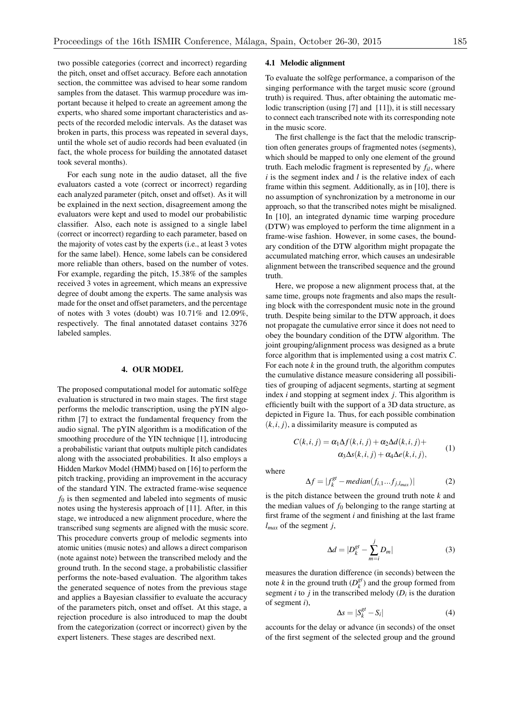two possible categories (correct and incorrect) regarding the pitch, onset and offset accuracy. Before each annotation section, the committee was advised to hear some random samples from the dataset. This warmup procedure was important because it helped to create an agreement among the experts, who shared some important characteristics and aspects of the recorded melodic intervals. As the dataset was broken in parts, this process was repeated in several days, until the whole set of audio records had been evaluated (in fact, the whole process for building the annotated dataset took several months).

For each sung note in the audio dataset, all the five evaluators casted a vote (correct or incorrect) regarding each analyzed parameter (pitch, onset and offset). As it will be explained in the next section, disagreement among the evaluators were kept and used to model our probabilistic classifier. Also, each note is assigned to a single label (correct or incorrect) regarding to each parameter, based on the majority of votes cast by the experts (i.e., at least 3 votes for the same label). Hence, some labels can be considered more reliable than others, based on the number of votes. For example, regarding the pitch, 15*.*38% of the samples received 3 votes in agreement, which means an expressive degree of doubt among the experts. The same analysis was made for the onset and offset parameters, and the percentage of notes with 3 votes (doubt) was 10*.*71% and 12*.*09%, respectively. The final annotated dataset contains 3276 labeled samples.

## 4. OUR MODEL

The proposed computational model for automatic solfège evaluation is structured in two main stages. The first stage performs the melodic transcription, using the pYIN algorithm [7] to extract the fundamental frequency from the audio signal. The pYIN algorithm is a modification of the smoothing procedure of the YIN technique [1], introducing a probabilistic variant that outputs multiple pitch candidates along with the associated probabilities. It also employs a Hidden Markov Model (HMM) based on [16] to perform the pitch tracking, providing an improvement in the accuracy of the standard YIN. The extracted frame-wise sequence *f*<sup>0</sup> is then segmented and labeled into segments of music notes using the hysteresis approach of [11]. After, in this stage, we introduced a new alignment procedure, where the transcribed sung segments are aligned with the music score. This procedure converts group of melodic segments into atomic unities (music notes) and allows a direct comparison (note against note) between the transcribed melody and the ground truth. In the second stage, a probabilistic classifier performs the note-based evaluation. The algorithm takes the generated sequence of notes from the previous stage and applies a Bayesian classifier to evaluate the accuracy of the parameters pitch, onset and offset. At this stage, a rejection procedure is also introduced to map the doubt from the categorization (correct or incorrect) given by the expert listeners. These stages are described next.

#### 4.1 Melodic alignment

To evaluate the solfège performance, a comparison of the singing performance with the target music score (ground truth) is required. Thus, after obtaining the automatic melodic transcription (using [7] and [11]), it is still necessary to connect each transcribed note with its corresponding note in the music score.

The first challenge is the fact that the melodic transcription often generates groups of fragmented notes (segments), which should be mapped to only one element of the ground truth. Each melodic fragment is represented by *fil*, where *i* is the segment index and *l* is the relative index of each frame within this segment. Additionally, as in [10], there is no assumption of synchronization by a metronome in our approach, so that the transcribed notes might be misaligned. In [10], an integrated dynamic time warping procedure (DTW) was employed to perform the time alignment in a frame-wise fashion. However, in some cases, the boundary condition of the DTW algorithm might propagate the accumulated matching error, which causes an undesirable alignment between the transcribed sequence and the ground truth.

Here, we propose a new alignment process that, at the same time, groups note fragments and also maps the resulting block with the correspondent music note in the ground truth. Despite being similar to the DTW approach, it does not propagate the cumulative error since it does not need to obey the boundary condition of the DTW algorithm. The joint grouping/alignment process was designed as a brute force algorithm that is implemented using a cost matrix *C*. For each note  $k$  in the ground truth, the algorithm computes the cumulative distance measure considering all possibilities of grouping of adjacent segments, starting at segment index *i* and stopping at segment index *j*. This algorithm is efficiently built with the support of a 3D data structure, as depicted in Figure 1a. Thus, for each possible combination  $(k, i, j)$ , a dissimilarity measure is computed as

$$
C(k,i,j) = \alpha_1 \Delta f(k,i,j) + \alpha_2 \Delta d(k,i,j) +
$$
  
\n
$$
\alpha_3 \Delta s(k,i,j) + \alpha_4 \Delta e(k,i,j),
$$
 (1)

where

$$
\Delta f = |f_k^{gt} - median(f_{i,1}...f_{j,l_{max}})|
$$
 (2)

is the pitch distance between the ground truth note *k* and the median values of  $f_0$  belonging to the range starting at first frame of the segment *i* and finishing at the last frame *lmax* of the segment *j*,

$$
\Delta d = |D_k^{gt} - \sum_{m=i}^{j} D_m|
$$
 (3)

measures the duration difference (in seconds) between the note *k* in the ground truth  $(D_k^{gt})$  and the group formed from segment *i* to *j* in the transcribed melody  $(D_i)$  is the duration of segment *i*),

$$
\Delta s = |S_k^{gt} - S_i| \tag{4}
$$

accounts for the delay or advance (in seconds) of the onset of the first segment of the selected group and the ground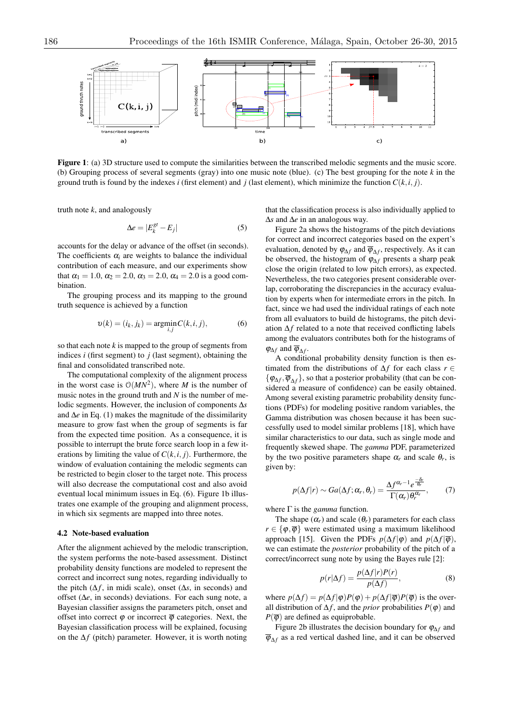

Figure 1: (a) 3D structure used to compute the similarities between the transcribed melodic segments and the music score. (b) Grouping process of several segments (gray) into one music note (blue). (c) The best grouping for the note *k* in the ground truth is found by the indexes *i* (first element) and *j* (last element), which minimize the function  $C(k, i, j)$ .

truth note *k*, and analogously

$$
\Delta e = |E_k^{gt} - E_j| \tag{5}
$$

accounts for the delay or advance of the offset (in seconds). The coefficients  $\alpha_i$  are weights to balance the individual contribution of each measure, and our experiments show that  $\alpha_1 = 1.0$ ,  $\alpha_2 = 2.0$ ,  $\alpha_3 = 2.0$ ,  $\alpha_4 = 2.0$  is a good combination.

The grouping process and its mapping to the ground truth sequence is achieved by a function

$$
\upsilon(k) = (i_k, j_k) = \underset{i,j}{\text{argmin}} C(k, i, j),\tag{6}
$$

so that each note *k* is mapped to the group of segments from indices *i* (first segment) to *j* (last segment), obtaining the final and consolidated transcribed note.

The computational complexity of the alignment process in the worst case is  $O(MN^2)$ , where *M* is the number of music notes in the ground truth and *N* is the number of melodic segments. However, the inclusion of components  $\Delta s$ and  $\Delta e$  in Eq. (1) makes the magnitude of the dissimilarity measure to grow fast when the group of segments is far from the expected time position. As a consequence, it is possible to interrupt the brute force search loop in a few iterations by limiting the value of  $C(k, i, j)$ . Furthermore, the window of evaluation containing the melodic segments can be restricted to begin closer to the target note. This process will also decrease the computational cost and also avoid eventual local minimum issues in Eq. (6). Figure 1b illustrates one example of the grouping and alignment process, in which six segments are mapped into three notes.

#### 4.2 Note-based evaluation

After the alignment achieved by the melodic transcription, the system performs the note-based assessment. Distinct probability density functions are modeled to represent the correct and incorrect sung notes, regarding individually to the pitch  $(\Delta f)$ , in midi scale), onset  $(\Delta s)$ , in seconds) and offset  $(\Delta e)$ , in seconds) deviations. For each sung note, a Bayesian classifier assigns the parameters pitch, onset and offset into correct  $\varphi$  or incorrect  $\overline{\varphi}$  categories. Next, the Bayesian classification process will be explained, focusing on the  $\Delta f$  (pitch) parameter. However, it is worth noting

that the classification process is also individually applied to  $\Delta s$  and  $\Delta e$  in an analogous way.

Figure 2a shows the histograms of the pitch deviations for correct and incorrect categories based on the expert's evaluation, denoted by  $\varphi_{\Delta f}$  and  $\overline{\varphi}_{\Delta f}$ , respectively. As it can be observed, the histogram of  $\varphi_{\Lambda f}$  presents a sharp peak close the origin (related to low pitch errors), as expected. Nevertheless, the two categories present considerable overlap, corroborating the discrepancies in the accuracy evaluation by experts when for intermediate errors in the pitch. In fact, since we had used the individual ratings of each note from all evaluators to build de histograms, the pitch deviation  $\Delta f$  related to a note that received conflicting labels among the evaluators contributes both for the histograms of  $\varphi_{\Delta f}$  and  $\overline{\varphi}_{\Delta f}$ .

A conditional probability density function is then estimated from the distributions of  $\Delta f$  for each class  $r \in$  $\{\varphi_{\Delta f}, \overline{\varphi}_{\Delta f}\}$ , so that a posterior probability (that can be considered a measure of confidence) can be easily obtained. Among several existing parametric probability density functions (PDFs) for modeling positive random variables, the Gamma distribution was chosen because it has been successfully used to model similar problems [18], which have similar characteristics to our data, such as single mode and frequently skewed shape. The *gamma* PDF, parameterized by the two positive parameters shape  $\alpha_r$  and scale  $\theta_r$ , is given by:

$$
p(\Delta f|r) \sim Ga(\Delta f; \alpha_r, \theta_r) = \frac{\Delta f^{\alpha_r - 1} e^{\frac{-\delta_r}{\theta_r}}}{\Gamma(\alpha_r) \theta_r^{\alpha_r}},
$$
 (7)

where  $\Gamma$  is the *gamma* function.

The shape  $(\alpha_r)$  and scale  $(\theta_r)$  parameters for each class  $r \in {\varphi, \overline{\varphi}}$  were estimated using a maximum likelihood approach [15]. Given the PDFs  $p(\Delta f | \varphi)$  and  $p(\Delta f | \overline{\varphi})$ , we can estimate the *posterior* probability of the pitch of a correct/incorrect sung note by using the Bayes rule [2]:

$$
p(r|\Delta f) = \frac{p(\Delta f|r)P(r)}{p(\Delta f)},
$$
\n(8)

where  $p(\Delta f) = p(\Delta f | \varphi)P(\varphi) + p(\Delta f | \overline{\varphi})P(\overline{\varphi})$  is the overall distribution of  $\Delta f$ , and the *prior* probabilities  $P(\varphi)$  and  $P(\overline{\varphi})$  are defined as equiprobable.

Figure 2b illustrates the decision boundary for  $\varphi_{\Delta f}$  and  $\overline{\varphi}_{\Lambda f}$  as a red vertical dashed line, and it can be observed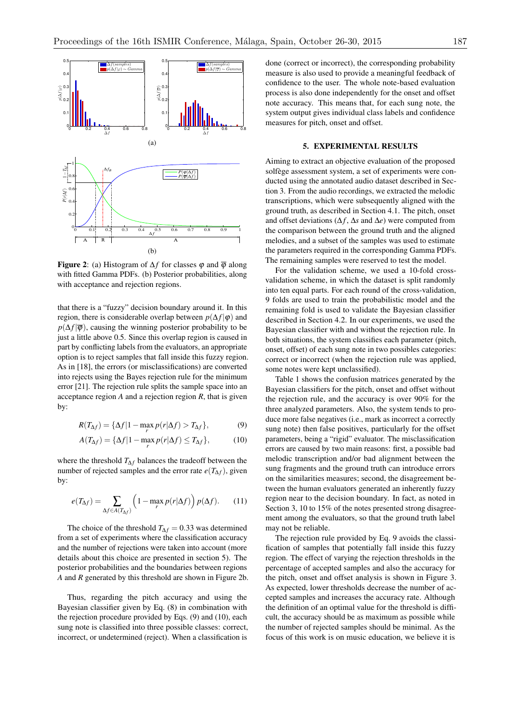

**Figure 2:** (a) Histogram of  $\Delta f$  for classes  $\varphi$  and  $\overline{\varphi}$  along with fitted Gamma PDFs. (b) Posterior probabilities, along with acceptance and rejection regions.

that there is a "fuzzy" decision boundary around it. In this region, there is considerable overlap between  $p(\Delta f | \varphi)$  and  $p(\Delta f | \overline{\varphi})$ , causing the winning posterior probability to be just a little above 0.5. Since this overlap region is caused in part by conflicting labels from the evaluators, an appropriate option is to reject samples that fall inside this fuzzy region. As in [18], the errors (or misclassifications) are converted into rejects using the Bayes rejection rule for the minimum error [21]. The rejection rule splits the sample space into an acceptance region *A* and a rejection region *R*, that is given by:

$$
R(T_{\Delta f}) = {\Delta f | 1 - \max_{r} p(r|\Delta f) > T_{\Delta f}},
$$
\n(9)

$$
A(T_{\Delta f}) = {\Delta f | 1 - \max_{r} p(r|\Delta f) \le T_{\Delta f}}, \tag{10}
$$

where the threshold  $T_{\Delta f}$  balances the tradeoff between the number of rejected samples and the error rate  $e(T_{\Delta f})$ , given by:

$$
e(T_{\Delta f}) = \sum_{\Delta f \in A(T_{\Delta f})} \left(1 - \max_{r} p(r|\Delta f)\right) p(\Delta f). \tag{11}
$$

The choice of the threshold  $T_{\Delta f} = 0.33$  was determined from a set of experiments where the classification accuracy and the number of rejections were taken into account (more details about this choice are presented in section 5). The posterior probabilities and the boundaries between regions *A* and *R* generated by this threshold are shown in Figure 2b.

Thus, regarding the pitch accuracy and using the Bayesian classifier given by Eq. (8) in combination with the rejection procedure provided by Eqs. (9) and (10), each sung note is classified into three possible classes: correct, incorrect, or undetermined (reject). When a classification is

done (correct or incorrect), the corresponding probability measure is also used to provide a meaningful feedback of confidence to the user. The whole note-based evaluation process is also done independently for the onset and offset note accuracy. This means that, for each sung note, the system output gives individual class labels and confidence measures for pitch, onset and offset.

#### 5. EXPERIMENTAL RESULTS

Aiming to extract an objective evaluation of the proposed solfège assessment system, a set of experiments were conducted using the annotated audio dataset described in Section 3. From the audio recordings, we extracted the melodic transcriptions, which were subsequently aligned with the ground truth, as described in Section 4.1. The pitch, onset and offset deviations  $(\Delta f, \Delta s)$  and  $\Delta e$ ) were computed from the comparison between the ground truth and the aligned melodies, and a subset of the samples was used to estimate the parameters required in the corresponding Gamma PDFs. The remaining samples were reserved to test the model.

For the validation scheme, we used a 10-fold crossvalidation scheme, in which the dataset is split randomly into ten equal parts. For each round of the cross-validation, 9 folds are used to train the probabilistic model and the remaining fold is used to validate the Bayesian classifier described in Section 4.2. In our experiments, we used the Bayesian classifier with and without the rejection rule. In both situations, the system classifies each parameter (pitch, onset, offset) of each sung note in two possibles categories: correct or incorrect (when the rejection rule was applied, some notes were kept unclassified).

Table 1 shows the confusion matrices generated by the Bayesian classifiers for the pitch, onset and offset without the rejection rule, and the accuracy is over 90% for the three analyzed parameters. Also, the system tends to produce more false negatives (i.e., mark as incorrect a correctly sung note) then false positives, particularly for the offset parameters, being a "rigid" evaluator. The misclassification errors are caused by two main reasons: first, a possible bad melodic transcription and/or bad alignment between the sung fragments and the ground truth can introduce errors on the similarities measures; second, the disagreement between the human evaluators generated an inherently fuzzy region near to the decision boundary. In fact, as noted in Section 3, 10 to 15% of the notes presented strong disagreement among the evaluators, so that the ground truth label may not be reliable.

The rejection rule provided by Eq. 9 avoids the classification of samples that potentially fall inside this fuzzy region. The effect of varying the rejection thresholds in the percentage of accepted samples and also the accuracy for the pitch, onset and offset analysis is shown in Figure 3. As expected, lower thresholds decrease the number of accepted samples and increases the accuracy rate. Although the definition of an optimal value for the threshold is difficult, the accuracy should be as maximum as possible while the number of rejected samples should be minimal. As the focus of this work is on music education, we believe it is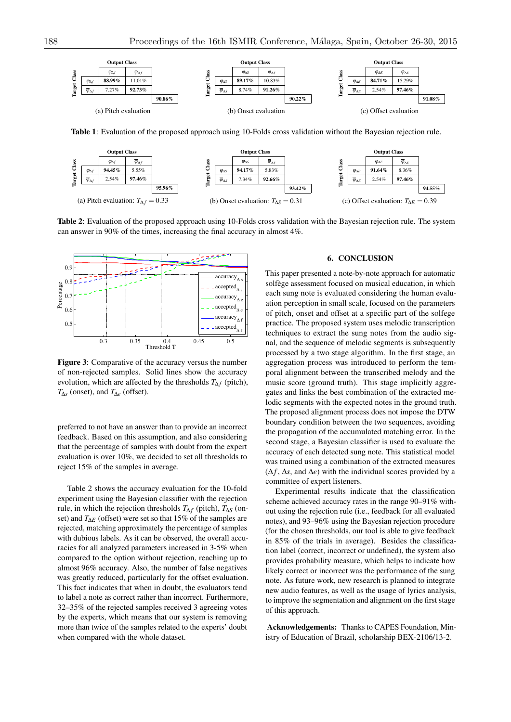

Table 1: Evaluation of the proposed approach using 10-Folds cross validation without the Bayesian rejection rule.



Table 2: Evaluation of the proposed approach using 10-Folds cross validation with the Bayesian rejection rule. The system can answer in 90% of the times, increasing the final accuracy in almost 4%.



Figure 3: Comparative of the accuracy versus the number of non-rejected samples. Solid lines show the accuracy evolution, which are affected by the thresholds  $T_{\Delta f}$  (pitch),  $T_{\Lambda s}$  (onset), and  $T_{\Lambda e}$  (offset).

preferred to not have an answer than to provide an incorrect feedback. Based on this assumption, and also considering that the percentage of samples with doubt from the expert evaluation is over 10%, we decided to set all thresholds to reject 15% of the samples in average.

Table 2 shows the accuracy evaluation for the 10-fold experiment using the Bayesian classifier with the rejection rule, in which the rejection thresholds  $T_{\Delta f}$  (pitch),  $T_{\Delta S}$  (onset) and  $T_{\Delta E}$  (offset) were set so that 15% of the samples are rejected, matching approximately the percentage of samples with dubious labels. As it can be observed, the overall accuracies for all analyzed parameters increased in 3-5% when compared to the option without rejection, reaching up to almost 96% accuracy. Also, the number of false negatives was greatly reduced, particularly for the offset evaluation. This fact indicates that when in doubt, the evaluators tend to label a note as correct rather than incorrect. Furthermore, 32–35% of the rejected samples received 3 agreeing votes by the experts, which means that our system is removing more than twice of the samples related to the experts' doubt when compared with the whole dataset.

# 6. CONCLUSION

This paper presented a note-by-note approach for automatic solfège assessment focused on musical education, in which each sung note is evaluated considering the human evaluation perception in small scale, focused on the parameters of pitch, onset and offset at a specific part of the solfege practice. The proposed system uses melodic transcription techniques to extract the sung notes from the audio signal, and the sequence of melodic segments is subsequently processed by a two stage algorithm. In the first stage, an aggregation process was introduced to perform the temporal alignment between the transcribed melody and the music score (ground truth). This stage implicitly aggregates and links the best combination of the extracted melodic segments with the expected notes in the ground truth. The proposed alignment process does not impose the DTW boundary condition between the two sequences, avoiding the propagation of the accumulated matching error. In the second stage, a Bayesian classifier is used to evaluate the accuracy of each detected sung note. This statistical model was trained using a combination of the extracted measures  $(\Delta f, \Delta s, \text{ and } \Delta e)$  with the individual scores provided by a committee of expert listeners.

Experimental results indicate that the classification scheme achieved accuracy rates in the range 90–91% without using the rejection rule (i.e., feedback for all evaluated notes), and 93–96% using the Bayesian rejection procedure (for the chosen thresholds, our tool is able to give feedback in 85% of the trials in average). Besides the classification label (correct, incorrect or undefined), the system also provides probability measure, which helps to indicate how likely correct or incorrect was the performance of the sung note. As future work, new research is planned to integrate new audio features, as well as the usage of lyrics analysis, to improve the segmentation and alignment on the first stage of this approach.

Acknowledgements: Thanks to CAPES Foundation, Ministry of Education of Brazil, scholarship BEX-2106/13-2.